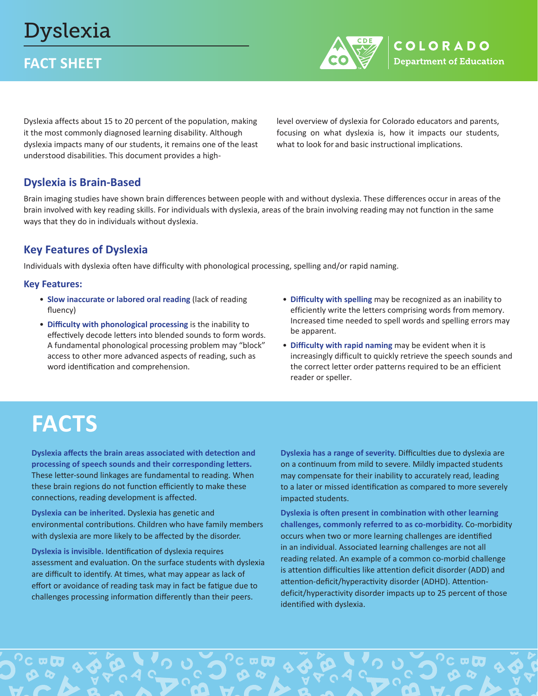# Dyslexia

## **FACT SHEET**



Dyslexia affects about 15 to 20 percent of the population, making it the most commonly diagnosed learning disability. Although dyslexia impacts many of our students, it remains one of the least understood disabilities. This document provides a highlevel overview of dyslexia for Colorado educators and parents, focusing on what dyslexia is, how it impacts our students, what to look for and basic instructional implications.

#### **Dyslexia is Brain-Based**

Brain imaging studies have shown brain differences between people with and without dyslexia. These differences occur in areas of the brain involved with key reading skills. For individuals with dyslexia, areas of the brain involving reading may not function in the same ways that they do in individuals without dyslexia.

### **Key Features of Dyslexia**

Individuals with dyslexia often have difficulty with phonological processing, spelling and/or rapid naming.

#### **Key Features:**

- **Slow inaccurate or labored oral reading** (lack of reading fluency)
- **Difficulty with phonological processing** is the inability to effectively decode letters into blended sounds to form words. A fundamental phonological processing problem may "block" access to other more advanced aspects of reading, such as word identification and comprehension.
- **Difficulty with spelling** may be recognized as an inability to efficiently write the letters comprising words from memory. Increased time needed to spell words and spelling errors may be apparent.
- **Difficulty with rapid naming** may be evident when it is increasingly difficult to quickly retrieve the speech sounds and the correct letter order patterns required to be an efficient reader or speller.

# **FACTS**

**Dyslexia affects the brain areas associated with detection and processing of speech sounds and their corresponding letters.**  These letter-sound linkages are fundamental to reading. When these brain regions do not function efficiently to make these connections, reading development is affected.

**Dyslexia can be inherited.** Dyslexia has genetic and environmental contributions. Children who have family members with dyslexia are more likely to be affected by the disorder.

**Dyslexia is invisible.** Identification of dyslexia requires assessment and evaluation. On the surface students with dyslexia are difficult to identify. At times, what may appear as lack of effort or avoidance of reading task may in fact be fatigue due to challenges processing information differently than their peers.

**Dyslexia has a range of severity.** Difficulties due to dyslexia are on a continuum from mild to severe. Mildly impacted students may compensate for their inability to accurately read, leading to a later or missed identification as compared to more severely impacted students.

**Dyslexia is often present in combination with other learning challenges, commonly referred to as co-morbidity.** Co-morbidity occurs when two or more learning challenges are identified in an individual. Associated learning challenges are not all reading related. An example of a common co-morbid challenge is attention difficulties like attention deficit disorder (ADD) and attention-deficit/hyperactivity disorder (ADHD). Attentiondeficit/hyperactivity disorder impacts up to 25 percent of those identified with dyslexia.